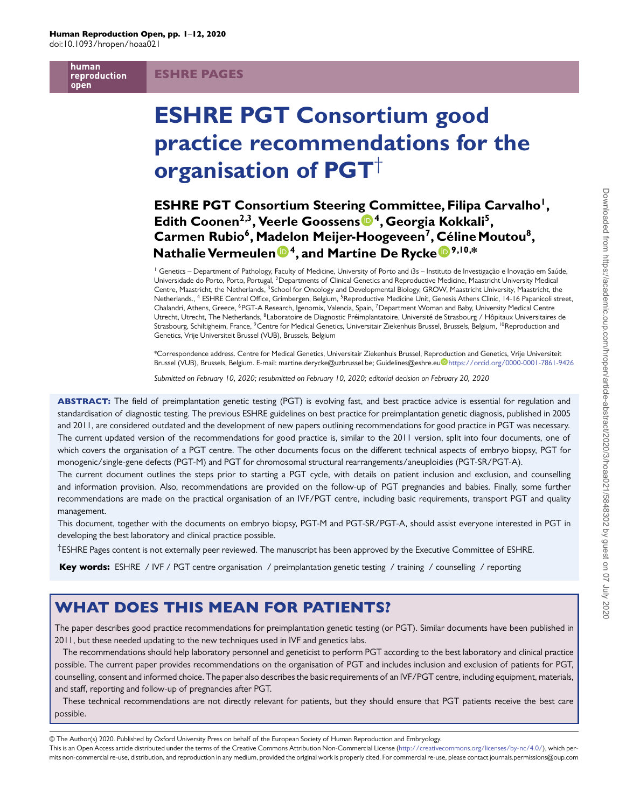human reproduction open

### ESHRE PAGES

# **ESHRE PGT Consortium good practice recommendations for the organisation of PGT**†

# **ESHRE PGT Consortium Steerin[g](https://orcid.org/0000-0002-9342-2143) [C](https://orcid.org/0000-0002-9342-2143)ommittee, Filipa Carvalho1, Edith Coonen2,3, Veerle Goossens 4, Georgia Kokkali5, Carmen Rubio6, Madelon Meijer-Hoogeveen7, [Cé](https://orcid.org/0000-0001-7861-9426)lineMoutou8, Nathalie Vermeule[n](https://orcid.org/0000-0001-8046-6799) 4, and Martine De Rycke 9,10,\***

<sup>1</sup> Genetics – Department of Pathology, Faculty of Medicine, University of Porto and i3s – Instituto de Investigação e Inovação em Saúde, Universidade do Porto, Porto, Portugal, 2Departments of Clinical Genetics and Reproductive Medicine, Maastricht University Medical Centre, Maastricht, the Netherlands, <sup>3</sup>School for Oncology and Developmental Biology, GROW, Maastricht University, Maastricht, the Netherlands., <sup>4</sup> ESHRE Central Office, Grimbergen, Belgium, <sup>5</sup>Reproductive Medicine Unit, Genesis Athens Clinic, 14-16 Papanicoli street, Chalandri, Athens, Greece, 6PGT-A Research, Igenomix, Valencia, Spain, 7Department Woman and Baby, University Medical Centre Utrecht, Utrecht, The Netherlands, 8Laboratoire de Diagnostic Préimplantatoire, Université de Strasbourg / Hôpitaux Universitaires de Strasbourg, Schiltigheim, France, <sup>9</sup>Centre for Medical Genetics, Universitair Ziekenhuis Brussel, Brussels, Belgium, <sup>10</sup>Reproduction and Genetics, Vrije Universiteit Brussel (VUB), Brussels, Belgium

\*Correspondence address. Centre for Medical Genetics, Universitair Ziekenhuis Brussel, Repr[odu](https://orcid.org/0000-0001-7861-9426)ction and Genetics, Vrije Universiteit Brussel (VUB), Brussels, Belgium. E-mail: martine.derycke@uzbrussel.be; Guidelines@eshre.eu <https://orcid.org/0000-0001-7861-9426>

*Submitted on February 10, 2020; resubmitted on February 10, 2020; editorial decision on February 20, 2020*

ABSTRACT: The field of preimplantation genetic testing (PGT) is evolving fast, and best practice advice is essential for regulation and standardisation of diagnostic testing. The previous ESHRE guidelines on best practice for preimplantation genetic diagnosis, published in 2005 and 2011, are considered outdated and the development of new papers outlining recommendations for good practice in PGT was necessary. The current updated version of the recommendations for good practice is, similar to the 2011 version, split into four documents, one of which covers the organisation of a PGT centre. The other documents focus on the different technical aspects of embryo biopsy, PGT for monogenic/single-gene defects (PGT-M) and PGT for chromosomal structural rearrangements/aneuploidies (PGT-SR/PGT-A).

The current document outlines the steps prior to starting a PGT cycle, with details on patient inclusion and exclusion, and counselling and information provision. Also, recommendations are provided on the follow-up of PGT pregnancies and babies. Finally, some further recommendations are made on the practical organisation of an IVF/PGT centre, including basic requirements, transport PGT and quality management.

This document, together with the documents on embryo biopsy, PGT-M and PGT-SR/PGT-A, should assist everyone interested in PGT in developing the best laboratory and clinical practice possible.

†ESHRE Pages content is not externally peer reviewed. The manuscript has been approved by the Executive Committee of ESHRE.

Key words: ESHRE / IVF / PGT centre organisation / preimplantation genetic testing / training / counselling / reporting

# WHAT DOES THIS MEAN FOR PATIENTS?

The paper describes good practice recommendations for preimplantation genetic testing (or PGT). Similar documents have been published in 2011, but these needed updating to the new techniques used in IVF and genetics labs.

The recommendations should help laboratory personnel and geneticist to perform PGT according to the best laboratory and clinical practice possible. The current paper provides recommendations on the organisation of PGT and includes inclusion and exclusion of patients for PGT, counselling, consent and informed choice. The paper also describes the basic requirements of an IVF/PGT centre, including equipment, materials, and staff, reporting and follow-up of pregnancies after PGT.

These technical recommendations are not directly relevant for patients, but they should ensure that PGT patients receive the best care possible.

© The Author(s) 2020. Published by Oxford University Press on behalf of the European Society of Human Reproduction and Embryology.

This is an Open Access article distributed under the terms of the Creative Commons Attribution Non-Commercial License [\(http://creativecommons.org/licenses/by-nc/4.0/\)](http://creativecommons.org/licenses/by-nc/4.0/), which permits non-commercial re-use, distribution, and reproduction in any medium, provided the original work is properly cited. For commercial re-use, please contact journals.permissions@oup.com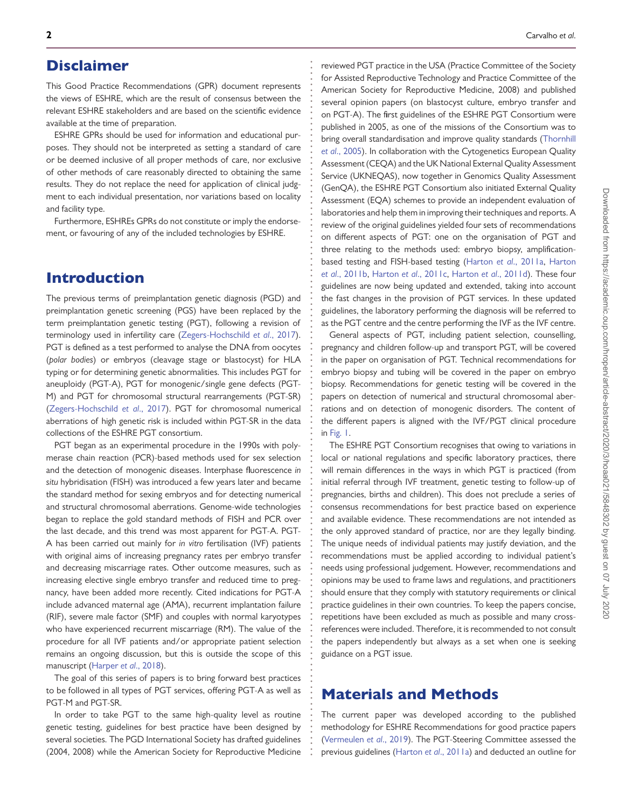### Disclaimer

This Good Practice Recommendations (GPR) document represents the views of ESHRE, which are the result of consensus between the relevant ESHRE stakeholders and are based on the scientific evidence available at the time of preparation.

**. . . . . . . . . . . . . . . . . . . . . . . . . . . . . . . . . . . . . . . . . . . . . . . . . . . . . . . . . . . . . . . . . . . . . . . . . . . . . . . . . . . . . . . . . . . . . . . . . . . . . . . . . . . . . . . . . . . . . . . . . . . .**

ESHRE GPRs should be used for information and educational purposes. They should not be interpreted as setting a standard of care or be deemed inclusive of all proper methods of care, nor exclusive of other methods of care reasonably directed to obtaining the same results. They do not replace the need for application of clinical judgment to each individual presentation, nor variations based on locality and facility type.

Furthermore, ESHREs GPRs do not constitute or imply the endorsement, or favouring of any of the included technologies by ESHRE.

### Introduction

The previous terms of preimplantation genetic diagnosis (PGD) and preimplantation genetic screening (PGS) have been replaced by the term preimplantation genetic testing (PGT), following a revision of terminology used in infertility care [\(Zegers-Hochschild](#page-11-0) *et al*., 2017). PGT is defined as a test performed to analyse the DNA from oocytes (*polar bodies*) or embryos (cleavage stage or blastocyst) for HLA typing or for determining genetic abnormalities. This includes PGT for aneuploidy (PGT-A), PGT for monogenic/single gene defects (PGT-M) and PGT for chromosomal structural rearrangements (PGT-SR) [\(Zegers-Hochschild](#page-11-0) *et al*., 2017). PGT for chromosomal numerical aberrations of high genetic risk is included within PGT-SR in the data collections of the ESHRE PGT consortium.

PGT began as an experimental procedure in the 1990s with polymerase chain reaction (PCR)-based methods used for sex selection and the detection of monogenic diseases. Interphase fluorescence *in situ* hybridisation (FISH) was introduced a few years later and became the standard method for sexing embryos and for detecting numerical and structural chromosomal aberrations. Genome-wide technologies began to replace the gold standard methods of FISH and PCR over the last decade, and this trend was most apparent for PGT-A. PGT-A has been carried out mainly for *in vitro* fertilisation (IVF) patients with original aims of increasing pregnancy rates per embryo transfer and decreasing miscarriage rates. Other outcome measures, such as increasing elective single embryo transfer and reduced time to pregnancy, have been added more recently. Cited indications for PGT-A include advanced maternal age (AMA), recurrent implantation failure (RIF), severe male factor (SMF) and couples with normal karyotypes who have experienced recurrent miscarriage (RM). The value of the procedure for all IVF patients and/or appropriate patient selection remains an ongoing discussion, but this is outside the scope of this manuscript [\(Harper](#page-11-1) *et al*., 2018).

The goal of this series of papers is to bring forward best practices to be followed in all types of PGT services, offering PGT-A as well as PGT-M and PGT-SR.

In order to take PGT to the same high-quality level as routine genetic testing, guidelines for best practice have been designed by several societies. The PGD International Society has drafted guidelines (2004, 2008) while the American Society for Reproductive Medicine

reviewed PGT practice in the USA (Practice Committee of the Society for Assisted Reproductive Technology and Practice Committee of the American Society for Reproductive Medicine, 2008) and published several opinion papers (on blastocyst culture, embryo transfer and on PGT-A). The first guidelines of the ESHRE PGT Consortium were published in 2005, as one of the missions of the Consortium was to [bring overall standardisation and improve quality standards \(Thornhill](#page-11-2) *et al*., 2005). In collaboration with the Cytogenetics European Quality Assessment (CEQA) and the UK National External Quality Assessment Service (UKNEQAS), now together in Genomics Quality Assessment (GenQA), the ESHRE PGT Consortium also initiated External Quality Assessment (EQA) schemes to provide an independent evaluation of laboratories and help them in improving their techniques and reports. A review of the original guidelines yielded four sets of recommendations on different aspects of PGT: one on the organisation of PGT and three relating to the methods used: embryo biopsy, amplification[based testing and FISH-based testing \(Harton](#page-11-4) *et al*[., 2011a,](#page-11-3) Harton *et al*., 2011b, Harton *et al*[., 2011c,](#page-11-5) Harton *et al*[., 2011d\)](#page-11-6). These four guidelines are now being updated and extended, taking into account the fast changes in the provision of PGT services. In these updated guidelines, the laboratory performing the diagnosis will be referred to as the PGT centre and the centre performing the IVF as the IVF centre.

General aspects of PGT, including patient selection, counselling, pregnancy and children follow-up and transport PGT, will be covered in the paper on organisation of PGT. Technical recommendations for embryo biopsy and tubing will be covered in the paper on embryo biopsy. Recommendations for genetic testing will be covered in the papers on detection of numerical and structural chromosomal aberrations and on detection of monogenic disorders. The content of the different papers is aligned with the IVF/PGT clinical procedure in [Fig. 1.](#page-2-0)

The ESHRE PGT Consortium recognises that owing to variations in local or national regulations and specific laboratory practices, there will remain differences in the ways in which PGT is practiced (from initial referral through IVF treatment, genetic testing to follow-up of pregnancies, births and children). This does not preclude a series of consensus recommendations for best practice based on experience and available evidence. These recommendations are not intended as the only approved standard of practice, nor are they legally binding. The unique needs of individual patients may justify deviation, and the recommendations must be applied according to individual patient's needs using professional judgement. However, recommendations and opinions may be used to frame laws and regulations, and practitioners should ensure that they comply with statutory requirements or clinical practice guidelines in their own countries. To keep the papers concise, repetitions have been excluded as much as possible and many crossreferences were included. Therefore, it is recommended to not consult the papers independently but always as a set when one is seeking guidance on a PGT issue.

## Materials and Methods

The current paper was developed according to the published methodology for ESHRE Recommendations for good practice papers [\(Vermeulen](#page-11-7) *et al*., 2019). The PGT-Steering Committee assessed the previous guidelines (Harton *et al*[., 2011a\)](#page-11-3) and deducted an outline for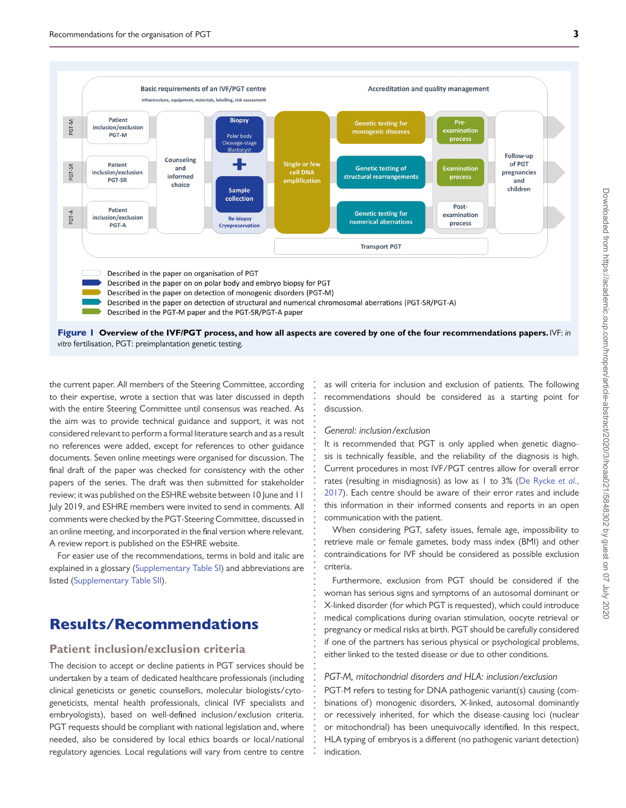

**. . . . . . . . . . . . . . . . . . . . . . . . . . . . . . . . . . . . . . . . . . . . . . . . . . . . . . . . . . . . . . . . . . .**

*vitro* fertilisation, PGT: preimplantation genetic testing.

<span id="page-2-0"></span>the current paper. All members of the Steering Committee, according to their expertise, wrote a section that was later discussed in depth with the entire Steering Committee until consensus was reached. As the aim was to provide technical guidance and support, it was not considered relevant to perform a formal literature search and as a result no references were added, except for references to other guidance documents. Seven online meetings were organised for discussion. The final draft of the paper was checked for consistency with the other papers of the series. The draft was then submitted for stakeholder review; it was published on the ESHRE website between 10 June and 11 July 2019, and ESHRE members were invited to send in comments. All comments were checked by the PGT-Steering Committee, discussed in an online meeting, and incorporated in the final version where relevant. A review report is published on the ESHRE website.

For easier use of the recommendations, terms in bold and italic are explained in a glossary [\(Supplementary Table SI\)](https://academic.oup.com/hropen/article-lookup/doi/10.1093/hropen/hoaa021#supplementary-data) and abbreviations are listed [\(Supplementary Table SII\)](https://academic.oup.com/hropen/article-lookup/doi/10.1093/hropen/hoaa021#supplementary-data).

# Results/Recommendations

### **Patient inclusion/exclusion criteria**

The decision to accept or decline patients in PGT services should be undertaken by a team of dedicated healthcare professionals (including clinical geneticists or genetic counsellors, molecular biologists/cytogeneticists, mental health professionals, clinical IVF specialists and embryologists), based on well-defined inclusion/exclusion criteria. PGT requests should be compliant with national legislation and, where needed, also be considered by local ethics boards or local/national regulatory agencies. Local regulations will vary from centre to centre

as will criteria for inclusion and exclusion of patients. The following recommendations should be considered as a starting point for discussion.

### *General: inclusion/exclusion*

It is recommended that PGT is only applied when genetic diagnosis is technically feasible, and the reliability of the diagnosis is high. Current procedures in most IVF/PGT centres allow for overall error rates (resulting in misdiagnosis) as low as 1 to 3% (De Rycke *et al*., [2017\). Each centre should be aware of their error rates and include](#page-11-8) this information in their informed consents and reports in an open communication with the patient.

When considering PGT, safety issues, female age, impossibility to retrieve male or female gametes, body mass index (BMI) and other contraindications for IVF should be considered as possible exclusion criteria.

Furthermore, exclusion from PGT should be considered if the woman has serious signs and symptoms of an autosomal dominant or X-linked disorder (for which PGT is requested), which could introduce medical complications during ovarian stimulation, oocyte retrieval or pregnancy or medical risks at birth. PGT should be carefully considered if one of the partners has serious physical or psychological problems, either linked to the tested disease or due to other conditions.

### *PGT-M, mitochondrial disorders and HLA: inclusion/exclusion*

PGT-M refers to testing for DNA pathogenic variant(s) causing (combinations of) monogenic disorders, X-linked, autosomal dominantly or recessively inherited, for which the disease-causing loci (nuclear or mitochondrial) has been unequivocally identified. In this respect, HLA typing of embryos is a different (no pathogenic variant detection) indication.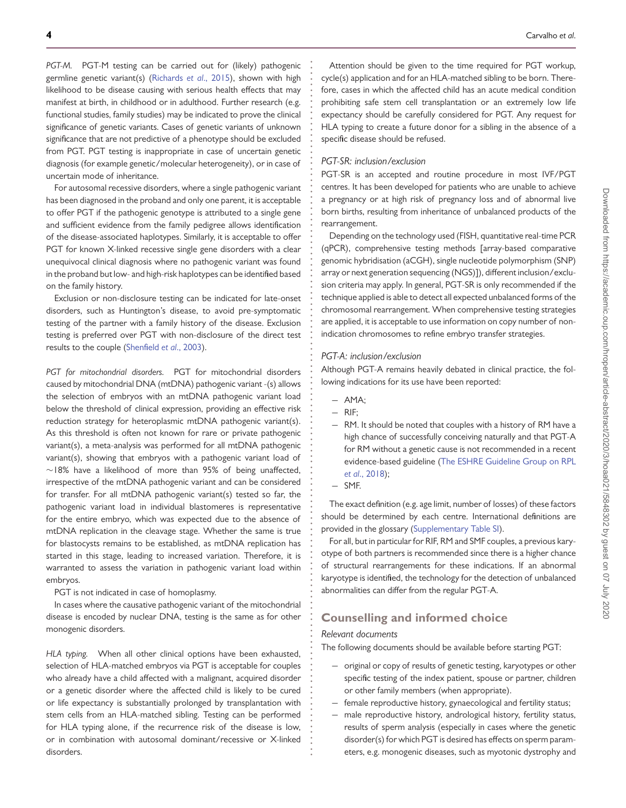*PGT-M.* PGT-M testing can be carried out for (likely) pathogenic germline genetic variant(s) [\(Richards](#page-11-9) *et al*., 2015), shown with high likelihood to be disease causing with serious health effects that may manifest at birth, in childhood or in adulthood. Further research (e.g. functional studies, family studies) may be indicated to prove the clinical significance of genetic variants. Cases of genetic variants of unknown significance that are not predictive of a phenotype should be excluded from PGT. PGT testing is inappropriate in case of uncertain genetic diagnosis (for example genetic/molecular heterogeneity), or in case of uncertain mode of inheritance.

For autosomal recessive disorders, where a single pathogenic variant has been diagnosed in the proband and only one parent, it is acceptable to offer PGT if the pathogenic genotype is attributed to a single gene and sufficient evidence from the family pedigree allows identification of the disease-associated haplotypes. Similarly, it is acceptable to offer PGT for known X-linked recessive single gene disorders with a clear unequivocal clinical diagnosis where no pathogenic variant was found in the proband but low- and high-risk haplotypes can be identified based on the family history.

Exclusion or non-disclosure testing can be indicated for late-onset disorders, such as Huntington's disease, to avoid pre-symptomatic testing of the partner with a family history of the disease. Exclusion testing is preferred over PGT with non-disclosure of the direct test results to the couple [\(Shenfield](#page-11-10) *et al*., 2003).

*PGT for mitochondrial disorders.* PGT for mitochondrial disorders caused by mitochondrial DNA (mtDNA) pathogenic variant -(s) allows the selection of embryos with an mtDNA pathogenic variant load below the threshold of clinical expression, providing an effective risk reduction strategy for heteroplasmic mtDNA pathogenic variant(s). As this threshold is often not known for rare or private pathogenic variant(s), a meta-analysis was performed for all mtDNA pathogenic variant(s), showing that embryos with a pathogenic variant load of ∼18% have a likelihood of more than 95% of being unaffected, irrespective of the mtDNA pathogenic variant and can be considered for transfer. For all mtDNA pathogenic variant(s) tested so far, the pathogenic variant load in individual blastomeres is representative for the entire embryo, which was expected due to the absence of mtDNA replication in the cleavage stage. Whether the same is true for blastocysts remains to be established, as mtDNA replication has started in this stage, leading to increased variation. Therefore, it is warranted to assess the variation in pathogenic variant load within embryos.

PGT is not indicated in case of homoplasmy.

In cases where the causative pathogenic variant of the mitochondrial disease is encoded by nuclear DNA, testing is the same as for other monogenic disorders.

*HLA typing.* When all other clinical options have been exhausted, selection of HLA-matched embryos via PGT is acceptable for couples who already have a child affected with a malignant, acquired disorder or a genetic disorder where the affected child is likely to be cured or life expectancy is substantially prolonged by transplantation with stem cells from an HLA-matched sibling. Testing can be performed for HLA typing alone, if the recurrence risk of the disease is low, or in combination with autosomal dominant/recessive or X-linked disorders.

Attention should be given to the time required for PGT workup, cycle(s) application and for an HLA-matched sibling to be born. Therefore, cases in which the affected child has an acute medical condition prohibiting safe stem cell transplantation or an extremely low life expectancy should be carefully considered for PGT. Any request for HLA typing to create a future donor for a sibling in the absence of a specific disease should be refused.

### *PGT-SR: inclusion/exclusion*

**. . . . . . . . . . . . . . . . . . . . . . . . . . . . . . . . . . . . . . . . . . . . . . . . . . . . . . . . . . . . . . . . . . . . . . . . . . . . . . . . . . . . . . . . . . . . . . . . . . . . . . . . . . . . . . . . . . . . . . . . . . . .**

PGT-SR is an accepted and routine procedure in most IVF/PGT centres. It has been developed for patients who are unable to achieve a pregnancy or at high risk of pregnancy loss and of abnormal live born births, resulting from inheritance of unbalanced products of the rearrangement.

Depending on the technology used (FISH, quantitative real-time PCR (qPCR), comprehensive testing methods [array-based comparative genomic hybridisation (aCGH), single nucleotide polymorphism (SNP) array or next generation sequencing (NGS)]), different inclusion/exclusion criteria may apply. In general, PGT-SR is only recommended if the technique applied is able to detect all expected unbalanced forms of the chromosomal rearrangement. When comprehensive testing strategies are applied, it is acceptable to use information on copy number of nonindication chromosomes to refine embryo transfer strategies.

### *PGT-A: inclusion/exclusion*

Although PGT-A remains heavily debated in clinical practice, the following indications for its use have been reported:

- − AMA;
- − RIF;
- − RM. It should be noted that couples with a history of RM have a high chance of successfully conceiving naturally and that PGT-A for RM without a genetic cause is not recommended in a recent [evidence-based guideline \(The ESHRE Guideline Group on RPL](#page-11-11) *et al*., 2018);
- − SMF.

The exact definition (e.g. age limit, number of losses) of these factors should be determined by each centre. International definitions are provided in the glossary [\(Supplementary Table SI\)](https://academic.oup.com/hropen/article-lookup/doi/10.1093/hropen/hoaa021#supplementary-data).

For all, but in particular for RIF, RM and SMF couples, a previous karyotype of both partners is recommended since there is a higher chance of structural rearrangements for these indications. If an abnormal karyotype is identified, the technology for the detection of unbalanced abnormalities can differ from the regular PGT-A.

### **Counselling and informed choice**

#### *Relevant documents*

The following documents should be available before starting PGT:

- − original or copy of results of genetic testing, karyotypes or other specific testing of the index patient, spouse or partner, children or other family members (when appropriate).
- − female reproductive history, gynaecological and fertility status;
- − male reproductive history, andrological history, fertility status, results of sperm analysis (especially in cases where the genetic disorder(s) for which PGT is desired has effects on sperm parameters, e.g. monogenic diseases, such as myotonic dystrophy and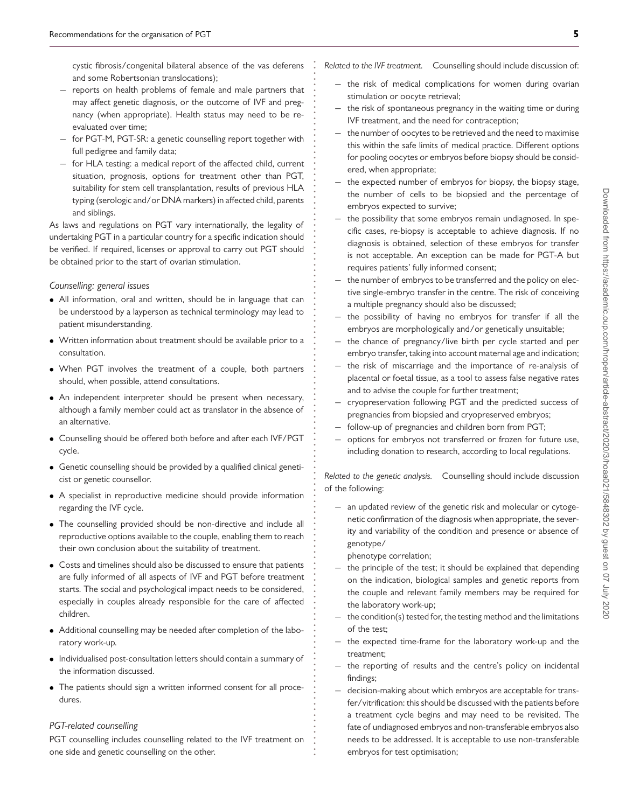cystic fibrosis/congenital bilateral absence of the vas deferens and some Robertsonian translocations);

**. . . . . . . . . . . . . . . . . . . . . . . . . . . . . . . . . . . . . . . . . . . . . . . . . . . . . . . . . . . . . . . . . . . . . . . . . . . . . . . . . . . . . . . . . . . . . . . . . . . . . . . . . . . . . . . . . . . . . . . . . . . .**

- − reports on health problems of female and male partners that may affect genetic diagnosis, or the outcome of IVF and pregnancy (when appropriate). Health status may need to be reevaluated over time;
- for PGT-M, PGT-SR: a genetic counselling report together with full pedigree and family data;
- − for HLA testing: a medical report of the affected child, current situation, prognosis, options for treatment other than PGT, suitability for stem cell transplantation, results of previous HLA typing (serologic and/or DNA markers) in affected child, parents and siblings.

As laws and regulations on PGT vary internationally, the legality of undertaking PGT in a particular country for a specific indication should be verified. If required, licenses or approval to carry out PGT should be obtained prior to the start of ovarian stimulation.

*Counselling: general issues*

- All information, oral and written, should be in language that can be understood by a layperson as technical terminology may lead to patient misunderstanding.
- Written information about treatment should be available prior to a consultation.
- When PGT involves the treatment of a couple, both partners should, when possible, attend consultations.
- An independent interpreter should be present when necessary, although a family member could act as translator in the absence of an alternative.
- Counselling should be offered both before and after each IVF/PGT cycle.
- Genetic counselling should be provided by a qualified clinical geneticist or genetic counsellor.
- A specialist in reproductive medicine should provide information regarding the IVF cycle.
- The counselling provided should be non-directive and include all reproductive options available to the couple, enabling them to reach their own conclusion about the suitability of treatment.
- Costs and timelines should also be discussed to ensure that patients are fully informed of all aspects of IVF and PGT before treatment starts. The social and psychological impact needs to be considered, especially in couples already responsible for the care of affected children.
- Additional counselling may be needed after completion of the laboratory work-up.
- Individualised post-consultation letters should contain a summary of the information discussed.
- The patients should sign a written informed consent for all procedures.

### *PGT-related counselling*

PGT counselling includes counselling related to the IVF treatment on one side and genetic counselling on the other.

*Related to the IVF treatment.* Counselling should include discussion of:

- − the risk of medical complications for women during ovarian stimulation or oocyte retrieval;
- the risk of spontaneous pregnancy in the waiting time or during IVF treatment, and the need for contraception;
- the number of oocytes to be retrieved and the need to maximise this within the safe limits of medical practice. Different options for pooling oocytes or embryos before biopsy should be considered, when appropriate;
- the expected number of embryos for biopsy, the biopsy stage, the number of cells to be biopsied and the percentage of embryos expected to survive;
- − the possibility that some embryos remain undiagnosed. In specific cases, re-biopsy is acceptable to achieve diagnosis. If no diagnosis is obtained, selection of these embryos for transfer is not acceptable. An exception can be made for PGT-A but requires patients' fully informed consent;
- − the number of embryos to be transferred and the policy on elective single-embryo transfer in the centre. The risk of conceiving a multiple pregnancy should also be discussed;
- − the possibility of having no embryos for transfer if all the embryos are morphologically and/or genetically unsuitable;
- − the chance of pregnancy/live birth per cycle started and per embryo transfer, taking into account maternal age and indication;
- the risk of miscarriage and the importance of re-analysis of placental or foetal tissue, as a tool to assess false negative rates and to advise the couple for further treatment;
- − cryopreservation following PGT and the predicted success of pregnancies from biopsied and cryopreserved embryos;
- − follow-up of pregnancies and children born from PGT;
- − options for embryos not transferred or frozen for future use, including donation to research, according to local regulations.

*Related to the genetic analysis.* Counselling should include discussion of the following:

− an updated review of the genetic risk and molecular or cytogenetic confirmation of the diagnosis when appropriate, the severity and variability of the condition and presence or absence of genotype/

phenotype correlation;

- − the principle of the test; it should be explained that depending on the indication, biological samples and genetic reports from the couple and relevant family members may be required for the laboratory work-up;
- − the condition(s) tested for, the testing method and the limitations of the test;
- − the expected time-frame for the laboratory work-up and the treatment;
- − the reporting of results and the centre's policy on incidental findings;
- − decision-making about which embryos are acceptable for transfer/vitrification: this should be discussed with the patients before a treatment cycle begins and may need to be revisited. The fate of undiagnosed embryos and non-transferable embryos also needs to be addressed. It is acceptable to use non-transferable embryos for test optimisation;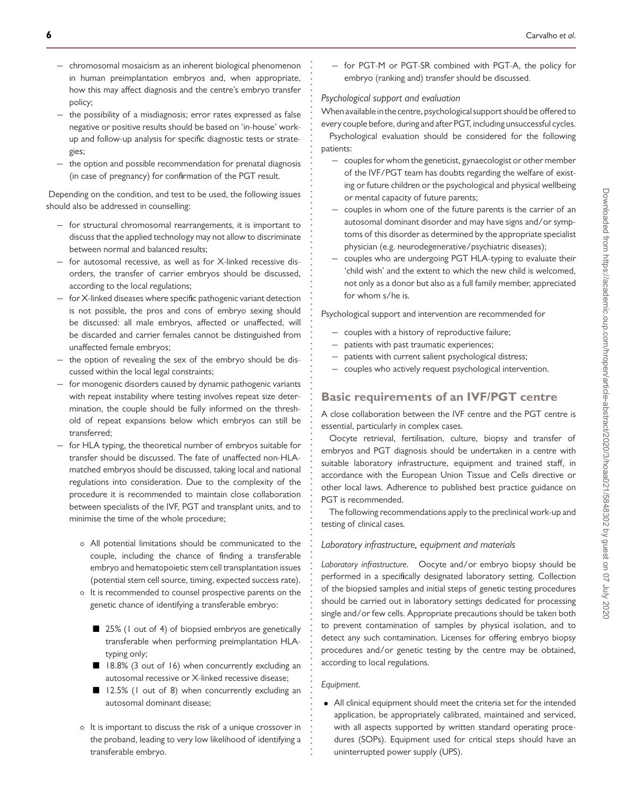- − chromosomal mosaicism as an inherent biological phenomenon in human preimplantation embryos and, when appropriate, how this may affect diagnosis and the centre's embryo transfer policy;
- − the possibility of a misdiagnosis; error rates expressed as false negative or positive results should be based on 'in-house' workup and follow-up analysis for specific diagnostic tests or strategies;
- − the option and possible recommendation for prenatal diagnosis (in case of pregnancy) for confirmation of the PGT result.

Depending on the condition, and test to be used, the following issues should also be addressed in counselling:

- − for structural chromosomal rearrangements, it is important to discuss that the applied technology may not allow to discriminate between normal and balanced results;
- − for autosomal recessive, as well as for X-linked recessive disorders, the transfer of carrier embryos should be discussed, according to the local regulations;
- − for X-linked diseases where specific pathogenic variant detection is not possible, the pros and cons of embryo sexing should be discussed: all male embryos, affected or unaffected, will be discarded and carrier females cannot be distinguished from unaffected female embryos;
- − the option of revealing the sex of the embryo should be discussed within the local legal constraints;
- − for monogenic disorders caused by dynamic pathogenic variants with repeat instability where testing involves repeat size determination, the couple should be fully informed on the threshold of repeat expansions below which embryos can still be transferred;
- − for HLA typing, the theoretical number of embryos suitable for transfer should be discussed. The fate of unaffected non-HLAmatched embryos should be discussed, taking local and national regulations into consideration. Due to the complexity of the procedure it is recommended to maintain close collaboration between specialists of the IVF, PGT and transplant units, and to minimise the time of the whole procedure;
	- All potential limitations should be communicated to the couple, including the chance of finding a transferable embryo and hematopoietic stem cell transplantation issues (potential stem cell source, timing, expected success rate).
	- It is recommended to counsel prospective parents on the genetic chance of identifying a transferable embryo:
		- 25% (1 out of 4) of biopsied embryos are genetically transferable when performing preimplantation HLAtyping only;
		- 18.8% (3 out of 16) when concurrently excluding an autosomal recessive or X-linked recessive disease;
		- 12.5% (1 out of 8) when concurrently excluding an autosomal dominant disease;
	- It is important to discuss the risk of a unique crossover in the proband, leading to very low likelihood of identifying a transferable embryo.

− for PGT-M or PGT-SR combined with PGT-A, the policy for embryo (ranking and) transfer should be discussed.

### *Psychological support and evaluation*

**. . . . . . . . . . . . . . . . . . . . . . . . . . . . . . . . . . . . . . . . . . . . . . . . . . . . . . . . . . . . . . . . . . . . . . . . . . . . . . . . . . . . . . . . . . . . . . . . . . . . . . . . . . . . . . . . . . . . . . . . . . . .**

When available in the centre, psychological support should be offered to every couple before, during and after PGT, including unsuccessful cycles. Psychological evaluation should be considered for the following patients:

- − couples for whom the geneticist, gynaecologist or other member of the IVF/PGT team has doubts regarding the welfare of existing or future children or the psychological and physical wellbeing or mental capacity of future parents;
- − couples in whom one of the future parents is the carrier of an autosomal dominant disorder and may have signs and/or symptoms of this disorder as determined by the appropriate specialist physician (e.g. neurodegenerative/psychiatric diseases);
- couples who are undergoing PGT HLA-typing to evaluate their 'child wish' and the extent to which the new child is welcomed, not only as a donor but also as a full family member, appreciated for whom s/he is.

Psychological support and intervention are recommended for

- − couples with a history of reproductive failure;
- patients with past traumatic experiences;
- − patients with current salient psychological distress;
- − couples who actively request psychological intervention.

### **Basic requirements of an IVF/PGT centre**

A close collaboration between the IVF centre and the PGT centre is essential, particularly in complex cases.

Oocyte retrieval, fertilisation, culture, biopsy and transfer of embryos and PGT diagnosis should be undertaken in a centre with suitable laboratory infrastructure, equipment and trained staff, in accordance with the European Union Tissue and Cells directive or other local laws. Adherence to published best practice guidance on PGT is recommended.

The following recommendations apply to the preclinical work-up and testing of clinical cases.

### *Laboratory infrastructure, equipment and materials*

*Laboratory infrastructure.* Oocyte and/or embryo biopsy should be performed in a specifically designated laboratory setting. Collection of the biopsied samples and initial steps of genetic testing procedures should be carried out in laboratory settings dedicated for processing single and/or few cells. Appropriate precautions should be taken both to prevent contamination of samples by physical isolation, and to detect any such contamination. Licenses for offering embryo biopsy procedures and/or genetic testing by the centre may be obtained, according to local regulations.

#### *Equipment.*

• All clinical equipment should meet the criteria set for the intended application, be appropriately calibrated, maintained and serviced, with all aspects supported by written standard operating procedures (SOPs). Equipment used for critical steps should have an uninterrupted power supply (UPS).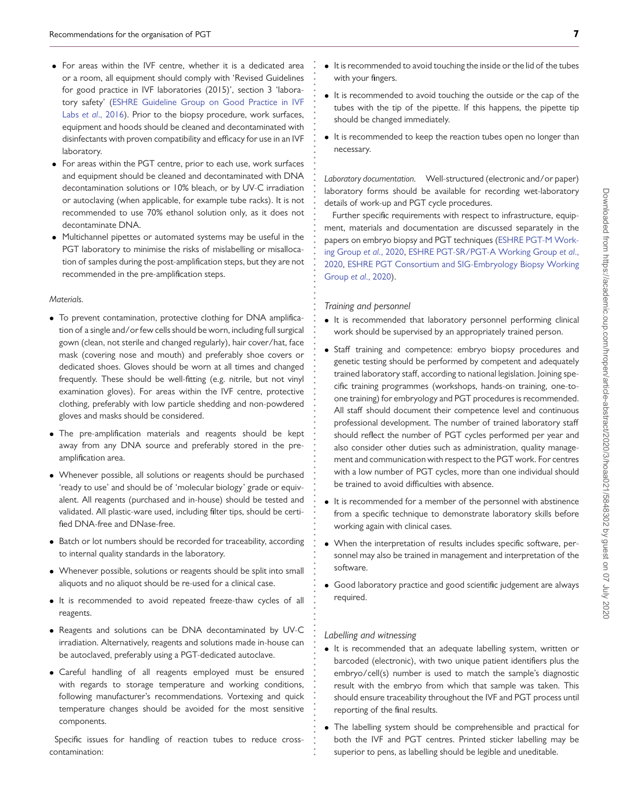- For areas within the IVF centre, whether it is a dedicated area or a room, all equipment should comply with 'Revised Guidelines for good practice in IVF laboratories (2015)', section 3 'labora[tory safety' \(ESHRE Guideline Group on Good Practice in IVF](#page-11-12) Labs *et al*., 2016). Prior to the biopsy procedure, work surfaces, equipment and hoods should be cleaned and decontaminated with disinfectants with proven compatibility and efficacy for use in an IVF laboratory.
- For areas within the PGT centre, prior to each use, work surfaces and equipment should be cleaned and decontaminated with DNA decontamination solutions or 10% bleach, or by UV-C irradiation or autoclaving (when applicable, for example tube racks). It is not recommended to use 70% ethanol solution only, as it does not decontaminate DNA.
- Multichannel pipettes or automated systems may be useful in the PGT laboratory to minimise the risks of mislabelling or misallocation of samples during the post-amplification steps, but they are not recommended in the pre-amplification steps.

#### *Materials.*

- To prevent contamination, protective clothing for DNA amplification of a single and/or few cells should be worn, including full surgical gown (clean, not sterile and changed regularly), hair cover/hat, face mask (covering nose and mouth) and preferably shoe covers or dedicated shoes. Gloves should be worn at all times and changed frequently. These should be well-fitting (e.g. nitrile, but not vinyl examination gloves). For areas within the IVF centre, protective clothing, preferably with low particle shedding and non-powdered gloves and masks should be considered.
- The pre-amplification materials and reagents should be kept away from any DNA source and preferably stored in the preamplification area.
- Whenever possible, all solutions or reagents should be purchased 'ready to use' and should be of 'molecular biology' grade or equivalent. All reagents (purchased and in-house) should be tested and validated. All plastic-ware used, including filter tips, should be certified DNA-free and DNase-free.
- Batch or lot numbers should be recorded for traceability, according to internal quality standards in the laboratory.
- Whenever possible, solutions or reagents should be split into small aliquots and no aliquot should be re-used for a clinical case.
- It is recommended to avoid repeated freeze-thaw cycles of all reagents.
- Reagents and solutions can be DNA decontaminated by UV-C irradiation. Alternatively, reagents and solutions made in-house can be autoclaved, preferably using a PGT-dedicated autoclave.
- Careful handling of all reagents employed must be ensured with regards to storage temperature and working conditions, following manufacturer's recommendations. Vortexing and quick temperature changes should be avoided for the most sensitive components.

Specific issues for handling of reaction tubes to reduce crosscontamination:

- It is recommended to avoid touching the inside or the lid of the tubes with your fingers.
- It is recommended to avoid touching the outside or the cap of the tubes with the tip of the pipette. If this happens, the pipette tip should be changed immediately.
- It is recommended to keep the reaction tubes open no longer than necessary.

*Laboratory documentation.* Well-structured (electronic and/or paper) laboratory forms should be available for recording wet-laboratory details of work-up and PGT cycle procedures.

Further specific requirements with respect to infrastructure, equipment, materials and documentation are discussed separately in the [papers on embryo biopsy and PGT techniques \(ESHRE PGT-M Work](#page-11-13)ing Group *et al*., 2020, ESHRE PGT-SR/PGT-A Working Group *et al*., 2020, [ESHRE PGT Consortium and SIG-Embryology Biopsy Working](#page-11-14) Group *et al*., 2020).

#### *Training and personnel*

**. . . . . . . . . . . . . . . . . . . . . . . . . . . . . . . . . . . . . . . . . . . . . . . . . . . . . . . . . . . . . . . . . . . . . . . . . . . . . . . . . . . . . . . . . . . . . . . . . . . . . . . . . . . . . . . . . . . . . . . . . . . .**

- It is recommended that laboratory personnel performing clinical work should be supervised by an appropriately trained person.
- Staff training and competence: embryo biopsy procedures and genetic testing should be performed by competent and adequately trained laboratory staff, according to national legislation. Joining specific training programmes (workshops, hands-on training, one-toone training) for embryology and PGT procedures is recommended. All staff should document their competence level and continuous professional development. The number of trained laboratory staff should reflect the number of PGT cycles performed per year and also consider other duties such as administration, quality management and communication with respect to the PGT work. For centres with a low number of PGT cycles, more than one individual should be trained to avoid difficulties with absence.
- It is recommended for a member of the personnel with abstinence from a specific technique to demonstrate laboratory skills before working again with clinical cases.
- When the interpretation of results includes specific software, personnel may also be trained in management and interpretation of the software.
- Good laboratory practice and good scientific judgement are always required.

#### *Labelling and witnessing*

- It is recommended that an adequate labelling system, written or barcoded (electronic), with two unique patient identifiers plus the embryo/cell(s) number is used to match the sample's diagnostic result with the embryo from which that sample was taken. This should ensure traceability throughout the IVF and PGT process until reporting of the final results.
- The labelling system should be comprehensible and practical for both the IVF and PGT centres. Printed sticker labelling may be superior to pens, as labelling should be legible and uneditable.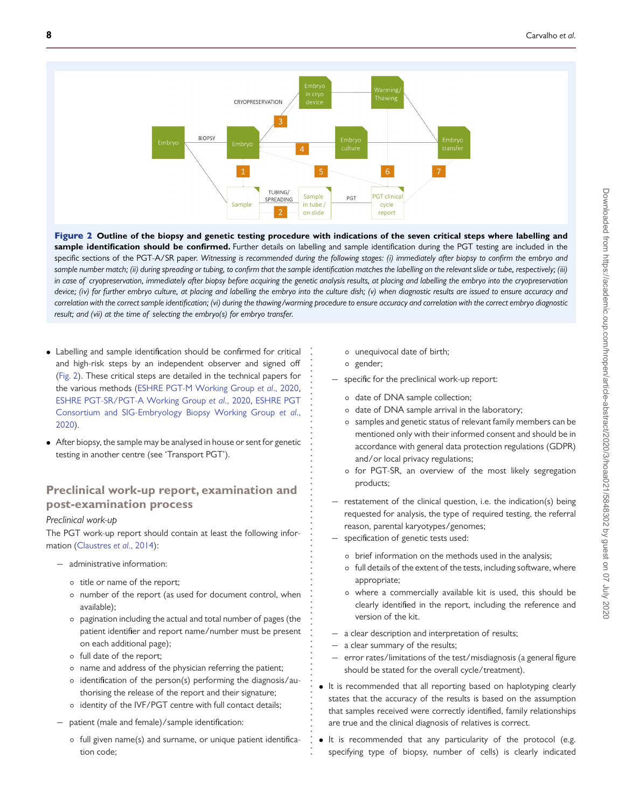

Figure 2 **Outline of the biopsy and genetic testing procedure with indications of the seven critical steps where labelling and** sample identification should be confirmed. Further details on labelling and sample identification during the PGT testing are included in the specific sections of the PGT-A/SR paper. *Witnessing is recommended during the following stages: (i) immediately after biopsy to confirm the embryo and* sample number match; (ii) during spreading or tubing, to confirm that the sample identification matches the labelling on the relevant slide or tube, respectively; (iii) *in case of cryopreservation, immediately after biopsy before acquiring the genetic analysis results, at placing and labelling the embryo into the cryopreservation device; (iv) for further embryo culture, at placing and labelling the embryo into the culture dish; (v) when diagnostic results are issued to ensure accuracy and correlation with the correct sample identification; (vi) during the thawing/warming procedure to ensure accuracy and correlation with the correct embryo diagnostic result; and (vii) at the time of selecting the embryo(s) for embryo transfer.*

> **. . . . . . . . . . . . . . . . . . . . . . . . . . . . . . . . . . . . . . . . . . . . . . . . . . . . . . . . . . . . . . . . . . . . . . . . .**

- <span id="page-7-0"></span>• Labelling and sample identification should be confirmed for critical and high-risk steps by an independent observer and signed off [\(Fig. 2\)](#page-7-0). These critical steps are detailed in the technical papers for the various methods [\(ESHRE PGT-M Working Group](#page-11-13) *et al*., 2020, [ESHRE PGT-SR/PGT-A Working Group](#page-11-14) *et al*., 2020, ESHRE PGT [Consortium and SIG-Embryology Biopsy Working Group](#page-11-15) *et al*., 2020).
- After biopsy, the sample may be analysed in house or sent for genetic testing in another centre (see 'Transport PGT').

### **Preclinical work-up report, examination and post-examination process**

### <span id="page-7-1"></span>*Preclinical work-up*

The PGT work-up report should contain at least the following information [\(Claustres](#page-11-16) *et al*., 2014):

- − administrative information:
	- title or name of the report;
	- number of the report (as used for document control, when available);
	- pagination including the actual and total number of pages (the patient identifier and report name/number must be present on each additional page);
	- full date of the report;
	- name and address of the physician referring the patient;
	- identification of the person(s) performing the diagnosis/authorising the release of the report and their signature;
	- identity of the IVF/PGT centre with full contact details;
- − patient (male and female)/sample identification:
	- full given name(s) and surname, or unique patient identification code;
- unequivocal date of birth;
- gender;
- − specific for the preclinical work-up report:
	- date of DNA sample collection;
	- date of DNA sample arrival in the laboratory;
	- samples and genetic status of relevant family members can be mentioned only with their informed consent and should be in accordance with general data protection regulations (GDPR) and/or local privacy regulations;
	- for PGT-SR, an overview of the most likely segregation products;
- − restatement of the clinical question, i.e. the indication(s) being requested for analysis, the type of required testing, the referral reason, parental karyotypes/genomes;
- specification of genetic tests used:
	- brief information on the methods used in the analysis;
	- full details of the extent of the tests, including software, where appropriate;
	- where a commercially available kit is used, this should be clearly identified in the report, including the reference and version of the kit.
- − a clear description and interpretation of results;
- a clear summary of the results;
- error rates/limitations of the test/misdiagnosis (a general figure should be stated for the overall cycle/treatment).
- It is recommended that all reporting based on haplotyping clearly states that the accuracy of the results is based on the assumption that samples received were correctly identified, family relationships are true and the clinical diagnosis of relatives is correct.
- It is recommended that any particularity of the protocol (e.g. specifying type of biopsy, number of cells) is clearly indicated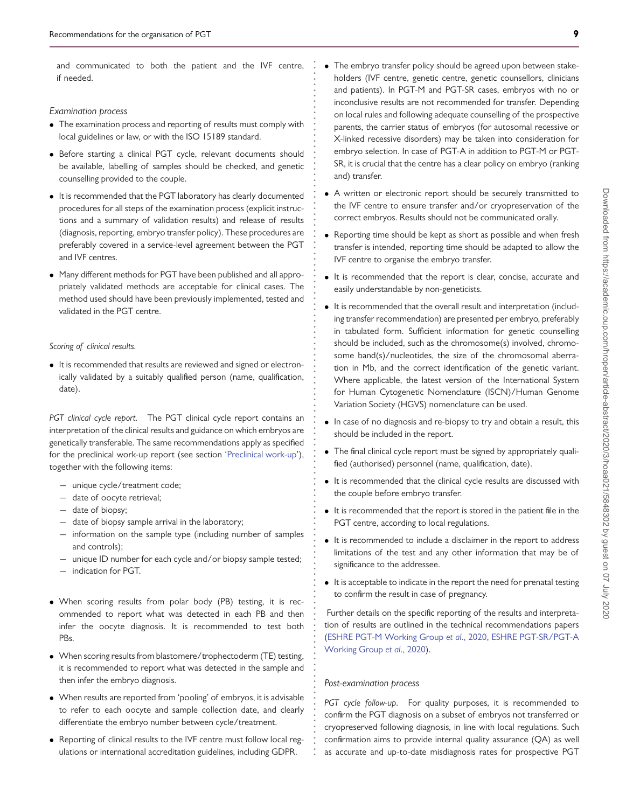and communicated to both the patient and the IVF centre, if needed.

**. . . . . . . . . . . . . . . . . . . . . . . . . . . . . . . . . . . . . . . . . . . . . . . . . . . . . . . . . . . . . . . . . . . . . . . . . . . . . . . . . . . . . . . . . . . . . . . . . . . . . . . . . . . . . . . . . . . . . . . . . . . .**

### *Examination process*

- The examination process and reporting of results must comply with local guidelines or law, or with the ISO 15189 standard.
- Before starting a clinical PGT cycle, relevant documents should be available, labelling of samples should be checked, and genetic counselling provided to the couple.
- It is recommended that the PGT laboratory has clearly documented procedures for all steps of the examination process (explicit instructions and a summary of validation results) and release of results (diagnosis, reporting, embryo transfer policy). These procedures are preferably covered in a service-level agreement between the PGT and IVF centres.
- Many different methods for PGT have been published and all appropriately validated methods are acceptable for clinical cases. The method used should have been previously implemented, tested and validated in the PGT centre.

#### *Scoring of clinical results.*

• It is recommended that results are reviewed and signed or electronically validated by a suitably qualified person (name, qualification, date).

*PGT clinical cycle report.* The PGT clinical cycle report contains an interpretation of the clinical results and guidance on which embryos are genetically transferable. The same recommendations apply as specified for the preclinical work-up report (see section ['Preclinical work-up'](#page-7-1)), together with the following items:

- − unique cycle/treatment code;
- − date of oocyte retrieval;
- − date of biopsy;
- − date of biopsy sample arrival in the laboratory;
- − information on the sample type (including number of samples and controls);
- − unique ID number for each cycle and/or biopsy sample tested;
- − indication for PGT.
- When scoring results from polar body (PB) testing, it is recommended to report what was detected in each PB and then infer the oocyte diagnosis. It is recommended to test both **PRs.**
- When scoring results from blastomere/trophectoderm (TE) testing, it is recommended to report what was detected in the sample and then infer the embryo diagnosis.
- When results are reported from 'pooling' of embryos, it is advisable to refer to each oocyte and sample collection date, and clearly differentiate the embryo number between cycle/treatment.
- Reporting of clinical results to the IVF centre must follow local regulations or international accreditation guidelines, including GDPR.
- The embryo transfer policy should be agreed upon between stakeholders (IVF centre, genetic centre, genetic counsellors, clinicians and patients). In PGT-M and PGT-SR cases, embryos with no or inconclusive results are not recommended for transfer. Depending on local rules and following adequate counselling of the prospective parents, the carrier status of embryos (for autosomal recessive or X-linked recessive disorders) may be taken into consideration for embryo selection. In case of PGT-A in addition to PGT-M or PGT-SR, it is crucial that the centre has a clear policy on embryo (ranking and) transfer.
- A written or electronic report should be securely transmitted to the IVF centre to ensure transfer and/or cryopreservation of the correct embryos. Results should not be communicated orally.
- Reporting time should be kept as short as possible and when fresh transfer is intended, reporting time should be adapted to allow the IVF centre to organise the embryo transfer.
- It is recommended that the report is clear, concise, accurate and easily understandable by non-geneticists.
- It is recommended that the overall result and interpretation (including transfer recommendation) are presented per embryo, preferably in tabulated form. Sufficient information for genetic counselling should be included, such as the chromosome(s) involved, chromosome band(s)/nucleotides, the size of the chromosomal aberration in Mb, and the correct identification of the genetic variant. Where applicable, the latest version of the International System for Human Cytogenetic Nomenclature (ISCN)/Human Genome Variation Society (HGVS) nomenclature can be used.
- In case of no diagnosis and re-biopsy to try and obtain a result, this should be included in the report.
- The final clinical cycle report must be signed by appropriately qualified (authorised) personnel (name, qualification, date).
- It is recommended that the clinical cycle results are discussed with the couple before embryo transfer.
- It is recommended that the report is stored in the patient file in the PGT centre, according to local regulations.
- It is recommended to include a disclaimer in the report to address limitations of the test and any other information that may be of significance to the addressee.
- It is acceptable to indicate in the report the need for prenatal testing to confirm the result in case of pregnancy.

Further details on the specific reporting of the results and interpretation of results are outlined in the technical recommendations papers [\(](#page-11-14)[ESHRE PGT-M Working Group](#page-11-13) *et al*., 2020, ESHRE PGT-SR/PGT-A Working Group *et al*., 2020).

### *Post-examination process*

*PGT cycle follow-up.* For quality purposes, it is recommended to confirm the PGT diagnosis on a subset of embryos not transferred or cryopreserved following diagnosis, in line with local regulations. Such confirmation aims to provide internal quality assurance (QA) as well as accurate and up-to-date misdiagnosis rates for prospective PGT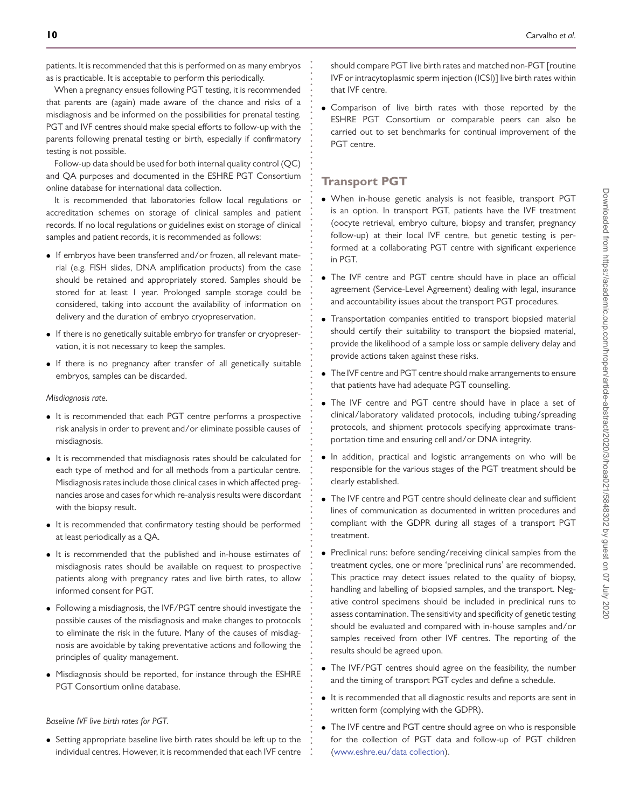patients. It is recommended that this is performed on as many embryos as is practicable. It is acceptable to perform this periodically.

When a pregnancy ensues following PGT testing, it is recommended that parents are (again) made aware of the chance and risks of a misdiagnosis and be informed on the possibilities for prenatal testing. PGT and IVF centres should make special efforts to follow-up with the parents following prenatal testing or birth, especially if confirmatory testing is not possible.

Follow-up data should be used for both internal quality control (QC) and QA purposes and documented in the ESHRE PGT Consortium online database for international data collection.

It is recommended that laboratories follow local regulations or accreditation schemes on storage of clinical samples and patient records. If no local regulations or guidelines exist on storage of clinical samples and patient records, it is recommended as follows:

- If embryos have been transferred and/or frozen, all relevant material (e.g. FISH slides, DNA amplification products) from the case should be retained and appropriately stored. Samples should be stored for at least 1 year. Prolonged sample storage could be considered, taking into account the availability of information on delivery and the duration of embryo cryopreservation.
- If there is no genetically suitable embryo for transfer or cryopreservation, it is not necessary to keep the samples.
- If there is no pregnancy after transfer of all genetically suitable embryos, samples can be discarded.

#### *Misdiagnosis rate.*

- It is recommended that each PGT centre performs a prospective risk analysis in order to prevent and/or eliminate possible causes of misdiagnosis.
- It is recommended that misdiagnosis rates should be calculated for each type of method and for all methods from a particular centre. Misdiagnosis rates include those clinical cases in which affected pregnancies arose and cases for which re-analysis results were discordant with the biopsy result.
- It is recommended that confirmatory testing should be performed at least periodically as a QA.
- It is recommended that the published and in-house estimates of misdiagnosis rates should be available on request to prospective patients along with pregnancy rates and live birth rates, to allow informed consent for PGT.
- Following a misdiagnosis, the IVF/PGT centre should investigate the possible causes of the misdiagnosis and make changes to protocols to eliminate the risk in the future. Many of the causes of misdiagnosis are avoidable by taking preventative actions and following the principles of quality management.
- Misdiagnosis should be reported, for instance through the ESHRE PGT Consortium online database.

*Baseline IVF live birth rates for PGT.*

• Setting appropriate baseline live birth rates should be left up to the individual centres. However, it is recommended that each IVF centre should compare PGT live birth rates and matched non-PGT [routine IVF or intracytoplasmic sperm injection (ICSI)] live birth rates within that IVF centre.

• Comparison of live birth rates with those reported by the ESHRE PGT Consortium or comparable peers can also be carried out to set benchmarks for continual improvement of the PGT centre.

### **Transport PGT**

**. . . . . . . . . . . . . . . . . . . . . . . . . . . . . . . . . . . . . . . . . . . . . . . . . . . . . . . . . . . . . . . . . . . . . . . . . . . . . . . . . . . . . . . . . . . . . . . . . . . . . . . . . . . . . . . . . . . . . . . . . . . .**

- When in-house genetic analysis is not feasible, transport PGT is an option. In transport PGT, patients have the IVF treatment (oocyte retrieval, embryo culture, biopsy and transfer, pregnancy follow-up) at their local IVF centre, but genetic testing is performed at a collaborating PGT centre with significant experience in PGT.
- The IVF centre and PGT centre should have in place an official agreement (Service-Level Agreement) dealing with legal, insurance and accountability issues about the transport PGT procedures.
- Transportation companies entitled to transport biopsied material should certify their suitability to transport the biopsied material, provide the likelihood of a sample loss or sample delivery delay and provide actions taken against these risks.
- The IVF centre and PGT centre should make arrangements to ensure that patients have had adequate PGT counselling.
- The IVF centre and PGT centre should have in place a set of clinical/laboratory validated protocols, including tubing/spreading protocols, and shipment protocols specifying approximate transportation time and ensuring cell and/or DNA integrity.
- In addition, practical and logistic arrangements on who will be responsible for the various stages of the PGT treatment should be clearly established.
- The IVF centre and PGT centre should delineate clear and sufficient lines of communication as documented in written procedures and compliant with the GDPR during all stages of a transport PGT treatment.
- Preclinical runs: before sending/receiving clinical samples from the treatment cycles, one or more 'preclinical runs' are recommended. This practice may detect issues related to the quality of biopsy, handling and labelling of biopsied samples, and the transport. Negative control specimens should be included in preclinical runs to assess contamination. The sensitivity and specificity of genetic testing should be evaluated and compared with in-house samples and/or samples received from other IVF centres. The reporting of the results should be agreed upon.
- The IVF/PGT centres should agree on the feasibility, the number and the timing of transport PGT cycles and define a schedule.
- It is recommended that all diagnostic results and reports are sent in written form (complying with the GDPR).
- The IVF centre and PGT centre should agree on who is responsible for the collection of PGT data and follow-up of PGT children [\(www.eshre.eu/data collection\)](http://www.eshre.eu/data).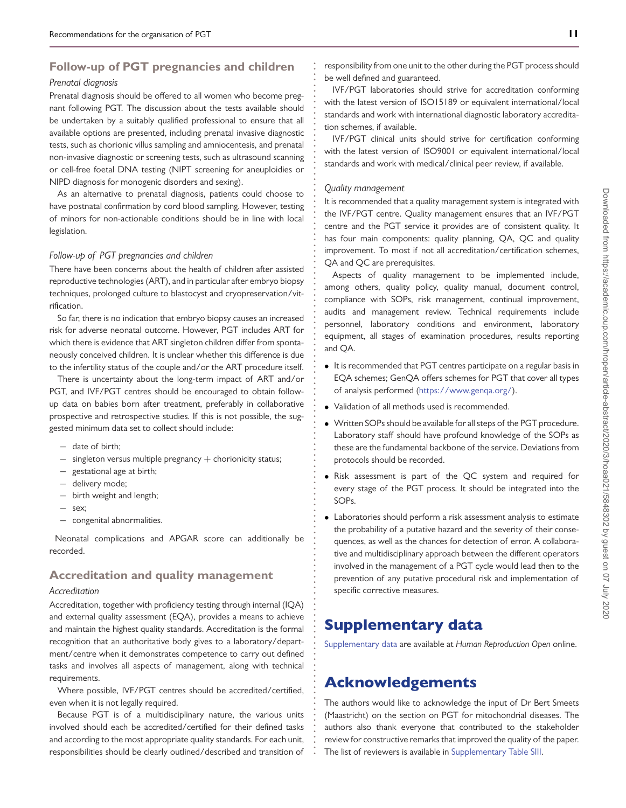### **Follow-up of PGT pregnancies and children**

### *Prenatal diagnosis*

Prenatal diagnosis should be offered to all women who become pregnant following PGT. The discussion about the tests available should be undertaken by a suitably qualified professional to ensure that all available options are presented, including prenatal invasive diagnostic tests, such as chorionic villus sampling and amniocentesis, and prenatal non-invasive diagnostic or screening tests, such as ultrasound scanning or cell-free foetal DNA testing (NIPT screening for aneuploidies or NIPD diagnosis for monogenic disorders and sexing).

As an alternative to prenatal diagnosis, patients could choose to have postnatal confirmation by cord blood sampling. However, testing of minors for non-actionable conditions should be in line with local legislation.

#### *Follow-up of PGT pregnancies and children*

There have been concerns about the health of children after assisted reproductive technologies (ART), and in particular after embryo biopsy techniques, prolonged culture to blastocyst and cryopreservation/vitrification.

So far, there is no indication that embryo biopsy causes an increased risk for adverse neonatal outcome. However, PGT includes ART for which there is evidence that ART singleton children differ from spontaneously conceived children. It is unclear whether this difference is due to the infertility status of the couple and/or the ART procedure itself.

There is uncertainty about the long-term impact of ART and/or PGT, and IVF/PGT centres should be encouraged to obtain followup data on babies born after treatment, preferably in collaborative prospective and retrospective studies. If this is not possible, the suggested minimum data set to collect should include:

- − date of birth;
- − singleton versus multiple pregnancy + chorionicity status;
- − gestational age at birth;
- − delivery mode;
- − birth weight and length;
- − sex;
- − congenital abnormalities.

Neonatal complications and APGAR score can additionally be recorded.

### **Accreditation and quality management**

### *Accreditation*

Accreditation, together with proficiency testing through internal (IQA) and external quality assessment (EQA), provides a means to achieve and maintain the highest quality standards. Accreditation is the formal recognition that an authoritative body gives to a laboratory/department/centre when it demonstrates competence to carry out defined tasks and involves all aspects of management, along with technical requirements.

Where possible, IVF/PGT centres should be accredited/certified, even when it is not legally required.

Because PGT is of a multidisciplinary nature, the various units involved should each be accredited/certified for their defined tasks and according to the most appropriate quality standards. For each unit, responsibilities should be clearly outlined/described and transition of responsibility from one unit to the other during the PGT process should be well defined and guaranteed.

IVF/PGT laboratories should strive for accreditation conforming with the latest version of ISO15189 or equivalent international/local standards and work with international diagnostic laboratory accreditation schemes, if available.

IVF/PGT clinical units should strive for certification conforming with the latest version of ISO9001 or equivalent international/local standards and work with medical/clinical peer review, if available.

### *Quality management*

**. . . . . . . . . . . . . . . . . . . . . . . . . . . . . . . . . . . . . . . . . . . . . . . . . . . . . . . . . . . . . . . . . . . . . . . . . . . . . . . . . . . . . . . . . . . . . . . . . . . . . . . . . . . . . . . . . . . . . . . . . . . . . .**

It is recommended that a quality management system is integrated with the IVF/PGT centre. Quality management ensures that an IVF/PGT centre and the PGT service it provides are of consistent quality. It has four main components: quality planning, QA, QC and quality improvement. To most if not all accreditation/certification schemes, QA and QC are prerequisites.

Aspects of quality management to be implemented include, among others, quality policy, quality manual, document control, compliance with SOPs, risk management, continual improvement, audits and management review. Technical requirements include personnel, laboratory conditions and environment, laboratory equipment, all stages of examination procedures, results reporting and QA.

- It is recommended that PGT centres participate on a regular basis in EQA schemes; GenQA offers schemes for PGT that cover all types of analysis performed [\(https://www.genqa.org/\)](https://www.genqa.org/).
- Validation of all methods used is recommended.
- Written SOPs should be available for all steps of the PGT procedure. Laboratory staff should have profound knowledge of the SOPs as these are the fundamental backbone of the service. Deviations from protocols should be recorded.
- Risk assessment is part of the QC system and required for every stage of the PGT process. It should be integrated into the SOPs.
- Laboratories should perform a risk assessment analysis to estimate the probability of a putative hazard and the severity of their consequences, as well as the chances for detection of error. A collaborative and multidisciplinary approach between the different operators involved in the management of a PGT cycle would lead then to the prevention of any putative procedural risk and implementation of specific corrective measures.

# Supplementary data

[Supplementary data](https://academic.oup.com/hropen/article-lookup/doi/10.1093/hropen/hoaa021#supplementary-data) are available at *Human Reproduction Open* online.

# Acknowledgements

The authors would like to acknowledge the input of Dr Bert Smeets (Maastricht) on the section on PGT for mitochondrial diseases. The authors also thank everyone that contributed to the stakeholder review for constructive remarks that improved the quality of the paper. The list of reviewers is available in [Supplementary Table SIII.](https://academic.oup.com/hropen/article-lookup/doi/10.1093/hropen/hoaa021#supplementary-data)